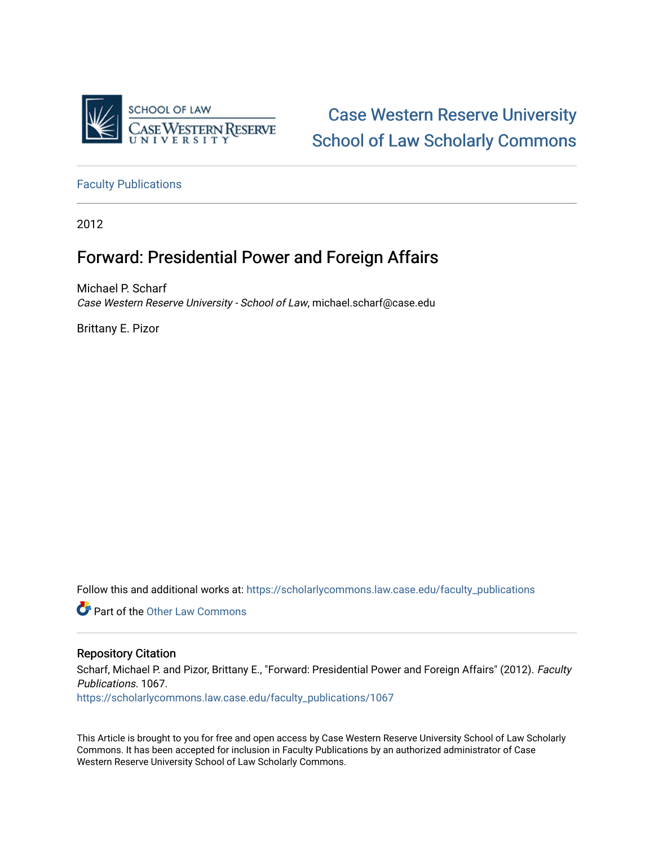

[Case Western Reserve University](https://scholarlycommons.law.case.edu/)  [School of Law Scholarly Commons](https://scholarlycommons.law.case.edu/) 

[Faculty Publications](https://scholarlycommons.law.case.edu/faculty_publications)

2012

## Forward: Presidential Power and Foreign Affairs

Michael P. Scharf Case Western Reserve University - School of Law, michael.scharf@case.edu

Brittany E. Pizor

Follow this and additional works at: [https://scholarlycommons.law.case.edu/faculty\\_publications](https://scholarlycommons.law.case.edu/faculty_publications?utm_source=scholarlycommons.law.case.edu%2Ffaculty_publications%2F1067&utm_medium=PDF&utm_campaign=PDFCoverPages)

**C** Part of the Other Law Commons

### Repository Citation

Scharf, Michael P. and Pizor, Brittany E., "Forward: Presidential Power and Foreign Affairs" (2012). Faculty Publications. 1067.

[https://scholarlycommons.law.case.edu/faculty\\_publications/1067](https://scholarlycommons.law.case.edu/faculty_publications/1067?utm_source=scholarlycommons.law.case.edu%2Ffaculty_publications%2F1067&utm_medium=PDF&utm_campaign=PDFCoverPages) 

This Article is brought to you for free and open access by Case Western Reserve University School of Law Scholarly Commons. It has been accepted for inclusion in Faculty Publications by an authorized administrator of Case Western Reserve University School of Law Scholarly Commons.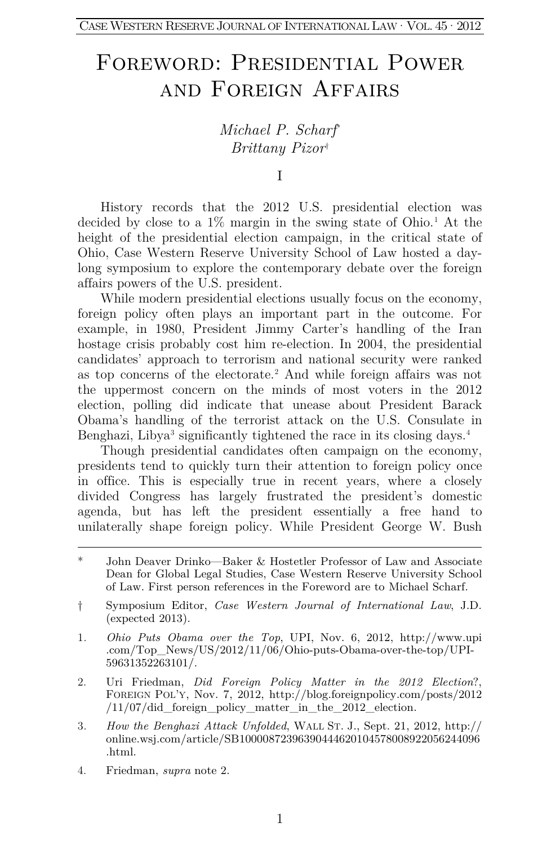# Foreword: Presidential Power and Foreign Affairs

### *Michael P. Scharf*[\\*](#page-1-0) *Brittany Pizor*[†](#page-1-1)

I

History records that the 2012 U.S. presidential election was decided by close to a  $1\%$  $1\%$  margin in the swing state of Ohio.<sup>1</sup> At the height of the presidential election campaign, in the critical state of Ohio, Case Western Reserve University School of Law hosted a daylong symposium to explore the contemporary debate over the foreign affairs powers of the U.S. president.

While modern presidential elections usually focus on the economy, foreign policy often plays an important part in the outcome. For example, in 1980, President Jimmy Carter's handling of the Iran hostage crisis probably cost him re-election. In 2004, the presidential candidates' approach to terrorism and national security were ranked as top concerns of the electorate[.2](#page-1-3) And while foreign affairs was not the uppermost concern on the minds of most voters in the 2012 election, polling did indicate that unease about President Barack Obama's handling of the terrorist attack on the U.S. Consulate in Benghazi, Libya<sup>[3](#page-1-4)</sup> significantly tightened the race in its closing days.<sup>[4](#page-1-5)</sup>

Though presidential candidates often campaign on the economy, presidents tend to quickly turn their attention to foreign policy once in office. This is especially true in recent years, where a closely divided Congress has largely frustrated the president's domestic agenda, but has left the president essentially a free hand to unilaterally shape foreign policy. While President George W. Bush

- <span id="page-1-3"></span>2. Uri Friedman, *Did Foreign Policy Matter in the 2012 Election*?, FOREIGN POL'Y, Nov. 7, 2012, http://blog.foreignpolicy.com/posts/2012 /11/07/did\_foreign\_policy\_matter\_in\_the\_2012\_election.
- <span id="page-1-4"></span>3*. How the Benghazi Attack Unfolded*, WALL ST. J., Sept. 21, 2012, http:// online.wsj.com/article/SB10000872396390444620104578008922056244096 .html.
- <span id="page-1-5"></span>4. Friedman, *supra* note 2.

<span id="page-1-0"></span><sup>\*</sup> John Deaver Drinko—Baker & Hostetler Professor of Law and Associate Dean for Global Legal Studies, Case Western Reserve University School of Law. First person references in the Foreword are to Michael Scharf.

<span id="page-1-1"></span><sup>†</sup> Symposium Editor, *Case Western Journal of International Law*, J.D. (expected 2013).

<span id="page-1-2"></span><sup>1</sup>*. Ohio Puts Obama over the Top*, UPI, Nov. 6, 2012, http://www.upi .com/Top\_News/US/2012/11/06/Ohio-puts-Obama-over-the-top/UPI-59631352263101/.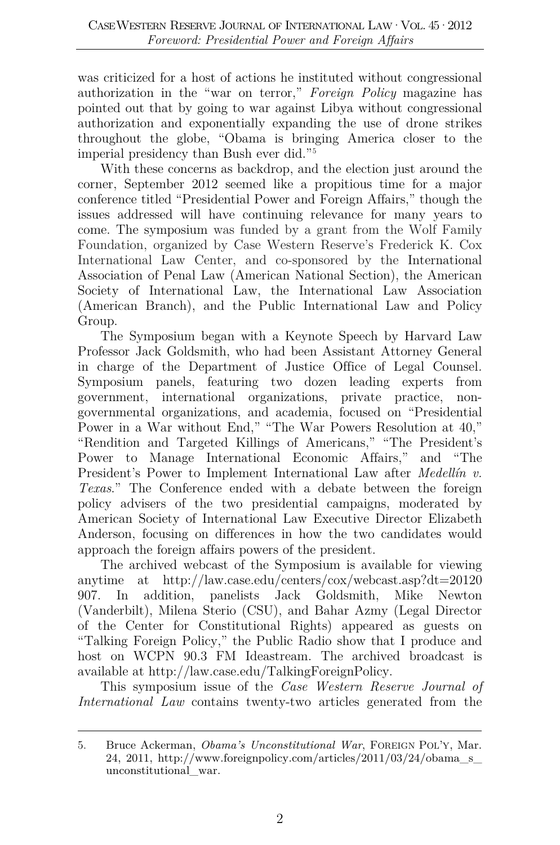was criticized for a host of actions he instituted without congressional authorization in the "war on terror," *Foreign Policy* magazine has pointed out that by going to war against Libya without congressional authorization and exponentially expanding the use of drone strikes throughout the globe, "Obama is bringing America closer to the imperial presidency than Bush ever did."[5](#page-2-0)

With these concerns as backdrop, and the election just around the corner, September 2012 seemed like a propitious time for a major conference titled "Presidential Power and Foreign Affairs," though the issues addressed will have continuing relevance for many years to come. The symposium was funded by a grant from the Wolf Family Foundation, organized by Case Western Reserve's Frederick K. Cox International Law Center, and co-sponsored by the International Association of Penal Law (American National Section), the American Society of International Law, the International Law Association (American Branch), and the Public International Law and Policy Group.

The Symposium began with a Keynote Speech by Harvard Law Professor Jack Goldsmith, who had been Assistant Attorney General in charge of the Department of Justice Office of Legal Counsel*.*  Symposium panels, featuring two dozen leading experts from government, international organizations, private practice, nongovernmental organizations, and academia, focused on "Presidential Power in a War without End," "The War Powers Resolution at 40," "Rendition and Targeted Killings of Americans," "The President's Power to Manage International Economic Affairs," and "The President's Power to Implement International Law after *Medellín v. Texas*." The Conference ended with a debate between the foreign policy advisers of the two presidential campaigns, moderated by American Society of International Law Executive Director Elizabeth Anderson, focusing on differences in how the two candidates would approach the foreign affairs powers of the president.

The archived webcast of the Symposium is available for viewing anytime at http://law.case.edu/centers/cox/webcast.asp?dt=20120 907. In addition, panelists Jack Goldsmith, Mike Newton (Vanderbilt), Milena Sterio (CSU), and Bahar Azmy (Legal Director of the Center for Constitutional Rights) appeared as guests on "Talking Foreign Policy," the Public Radio show that I produce and host on WCPN 90.3 FM Ideastream. The archived broadcast is available at http://law.case.edu/TalkingForeignPolicy.

This symposium issue of the *Case Western Reserve Journal of International Law* contains twenty-two articles generated from the

<span id="page-2-0"></span><sup>5.</sup> Bruce Ackerman, *Obama's Unconstitutional War*, FOREIGN POL'Y, Mar. 24, 2011, http://www.foreignpolicy.com/articles/ $2011/03/24/8$ obama\_s\_ unconstitutional\_war.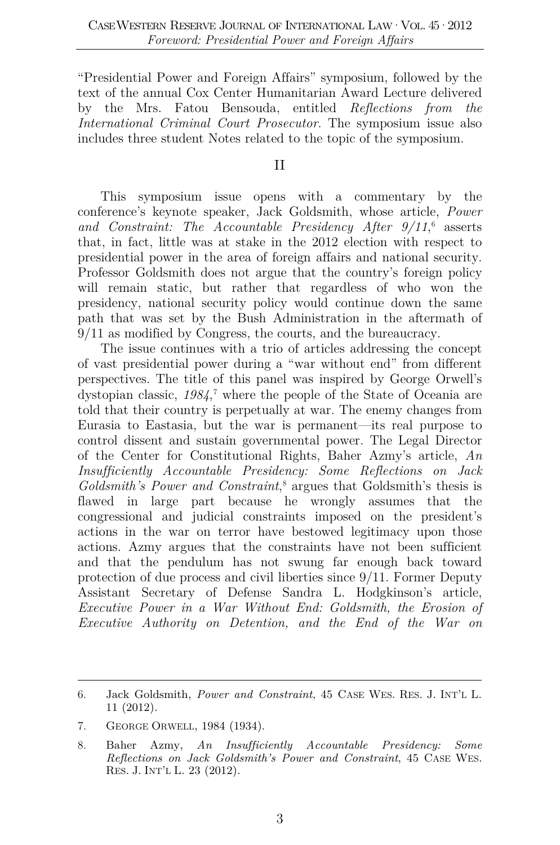"Presidential Power and Foreign Affairs" symposium, followed by the text of the annual Cox Center Humanitarian Award Lecture delivered by the Mrs. Fatou Bensouda, entitled *Reflections from the International Criminal Court Prosecutor*. The symposium issue also includes three student Notes related to the topic of the symposium.

#### II

This symposium issue opens with a commentary by the conference's keynote speaker, Jack Goldsmith, whose article, *Power and Constraint: The Accountable Presidency After 9/11*, [6](#page-3-0) asserts that, in fact, little was at stake in the 2012 election with respect to presidential power in the area of foreign affairs and national security. Professor Goldsmith does not argue that the country's foreign policy will remain static, but rather that regardless of who won the presidency, national security policy would continue down the same path that was set by the Bush Administration in the aftermath of 9/11 as modified by Congress, the courts, and the bureaucracy.

The issue continues with a trio of articles addressing the concept of vast presidential power during a "war without end" from different perspectives. The title of this panel was inspired by George Orwell's dystopian classic, *1984*, [7](#page-3-1) where the people of the State of Oceania are told that their country is perpetually at war. The enemy changes from Eurasia to Eastasia, but the war is permanent—its real purpose to control dissent and sustain governmental power. The Legal Director of the Center for Constitutional Rights, Baher Azmy's article, *An Insufficiently Accountable Presidency: Some Reflections on Jack Goldsmith's Power and Constraint*, [8](#page-3-2) argues that Goldsmith's thesis is flawed in large part because he wrongly assumes that the congressional and judicial constraints imposed on the president's actions in the war on terror have bestowed legitimacy upon those actions. Azmy argues that the constraints have not been sufficient and that the pendulum has not swung far enough back toward protection of due process and civil liberties since 9/11. Former Deputy Assistant Secretary of Defense Sandra L. Hodgkinson's article, *Executive Power in a War Without End: Goldsmith, the Erosion of Executive Authority on Detention, and the End of the War on* 

<span id="page-3-0"></span><sup>6.</sup> Jack Goldsmith, *Power and Constraint*, 45 CASE WES. RES. J. INT'L L. 11 (2012).

<span id="page-3-1"></span><sup>7.</sup> GEORGE ORWELL, 1984 (1934).

<span id="page-3-2"></span><sup>8.</sup> Baher Azmy, *An Insufficiently Accountable Presidency: Some Reflections on Jack Goldsmith's Power and Constraint*, 45 CASE WES. RES. J. INT'L L. 23 (2012).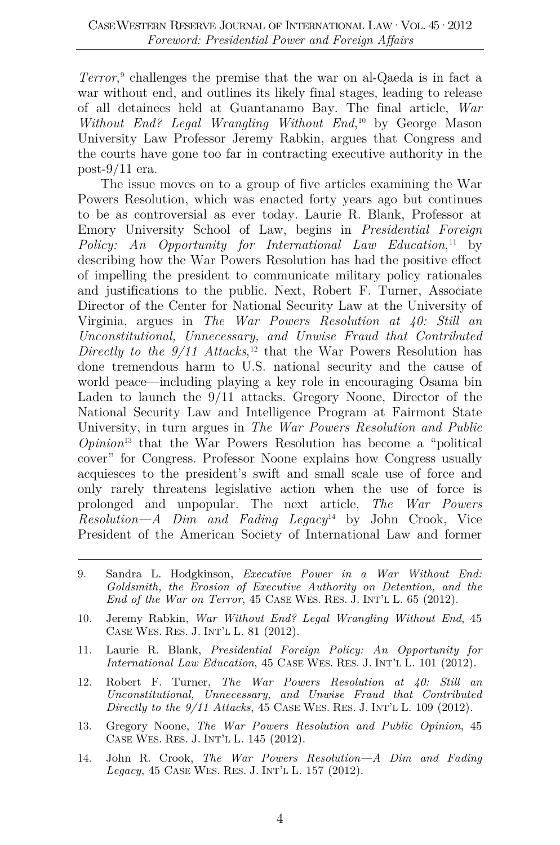*Terror*, [9](#page-4-0) challenges the premise that the war on al-Qaeda is in fact a war without end, and outlines its likely final stages, leading to release of all detainees held at Guantanamo Bay. The final article, *War Without End? Legal Wrangling Without End*, [10](#page-4-1) by George Mason University Law Professor Jeremy Rabkin, argues that Congress and the courts have gone too far in contracting executive authority in the post-9/11 era.

The issue moves on to a group of five articles examining the War Powers Resolution, which was enacted forty years ago but continues to be as controversial as ever today. Laurie R. Blank, Professor at Emory University School of Law, begins in *Presidential Foreign*  Policy: An Opportunity for International Law Education,<sup>[11](#page-4-2)</sup> by describing how the War Powers Resolution has had the positive effect of impelling the president to communicate military policy rationales and justifications to the public. Next, Robert F. Turner, Associate Director of the Center for National Security Law at the University of Virginia, argues in *The War Powers Resolution at 40: Still an Unconstitutional, Unnecessary, and Unwise Fraud that Contributed Directly to the 9/11 Attacks*, [12](#page-4-3) that the War Powers Resolution has done tremendous harm to U.S. national security and the cause of world peace—including playing a key role in encouraging Osama bin Laden to launch the 9/11 attacks. Gregory Noone, Director of the National Security Law and Intelligence Program at Fairmont State University, in turn argues in *The War Powers Resolution and Public Opinion*[13](#page-4-4) that the War Powers Resolution has become a "political cover" for Congress. Professor Noone explains how Congress usually acquiesces to the president's swift and small scale use of force and only rarely threatens legislative action when the use of force is prolonged and unpopular. The next article, *The War Powers Resolution—A Dim and Fading Legacy*[14](#page-4-5) by John Crook, Vice President of the American Society of International Law and former

- <span id="page-4-0"></span>9. Sandra L. Hodgkinson, *Executive Power in a War Without End: Goldsmith, the Erosion of Executive Authority on Detention, and the End of the War on Terror*, 45 CASE WES. RES. J. INT'L L. 65 (2012).
- <span id="page-4-1"></span>10. Jeremy Rabkin, *War Without End? Legal Wrangling Without End*, 45 CASE WES. RES. J. INT'L L. 81 (2012).
- <span id="page-4-2"></span>11. Laurie R. Blank, *Presidential Foreign Policy: An Opportunity for International Law Education*, 45 CASE WES. RES. J. INT'L L. 101 (2012).
- <span id="page-4-3"></span>12. Robert F. Turner, *The War Powers Resolution at 40: Still an Unconstitutional, Unnecessary, and Unwise Fraud that Contributed Directly to the 9/11 Attacks*, 45 CASE WES. RES. J. INT'L L. 109 (2012).
- <span id="page-4-4"></span>13. Gregory Noone, *The War Powers Resolution and Public Opinion*, 45 CASE WES. RES. J. INT'L L. 145 (2012).
- <span id="page-4-5"></span>14. John R. Crook, *The War Powers Resolution—A Dim and Fading Legacy*, 45 CASE WES. RES. J. INT'L L. 157 (2012).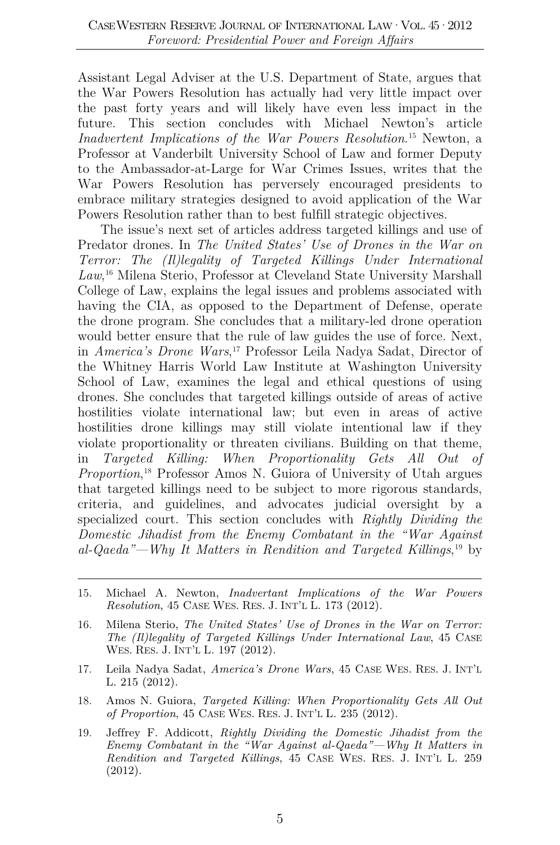Assistant Legal Adviser at the U.S. Department of State, argues that the War Powers Resolution has actually had very little impact over the past forty years and will likely have even less impact in the future. This section concludes with Michael Newton's article *Inadvertent Implications of the War Powers Resolution*. [15](#page-5-0) Newton, a Professor at Vanderbilt University School of Law and former Deputy to the Ambassador-at-Large for War Crimes Issues, writes that the War Powers Resolution has perversely encouraged presidents to embrace military strategies designed to avoid application of the War Powers Resolution rather than to best fulfill strategic objectives.

The issue's next set of articles address targeted killings and use of Predator drones. In *The United States' Use of Drones in the War on Terror: The (Il)legality of Targeted Killings Under International Law*, [16](#page-5-1) Milena Sterio, Professor at Cleveland State University Marshall College of Law, explains the legal issues and problems associated with having the CIA, as opposed to the Department of Defense, operate the drone program. She concludes that a military-led drone operation would better ensure that the rule of law guides the use of force. Next, in *America's Drone Wars*, [17](#page-5-2) Professor Leila Nadya Sadat, Director of the Whitney Harris World Law Institute at Washington University School of Law, examines the legal and ethical questions of using drones. She concludes that targeted killings outside of areas of active hostilities violate international law; but even in areas of active hostilities drone killings may still violate intentional law if they violate proportionality or threaten civilians. Building on that theme, in *Targeted Killing: When Proportionality Gets All Out of Proportion*, [18](#page-5-3) Professor Amos N. Guiora of University of Utah argues that targeted killings need to be subject to more rigorous standards, criteria, and guidelines, and advocates judicial oversight by a specialized court. This section concludes with *Rightly Dividing the Domestic Jihadist from the Enemy Combatant in the "War Against al-Qaeda"—Why It Matters in Rendition and Targeted Killings*, [19](#page-5-4) by

- <span id="page-5-2"></span>17. Leila Nadya Sadat, *America's Drone Wars*, 45 CASE WES. RES. J. INT'L L. 215 (2012).
- <span id="page-5-3"></span>18. Amos N. Guiora, *Targeted Killing: When Proportionality Gets All Out of Proportion*, 45 CASE WES. RES. J. INT'L L. 235 (2012).
- <span id="page-5-4"></span>19. Jeffrey F. Addicott, *Rightly Dividing the Domestic Jihadist from the Enemy Combatant in the "War Against al-Qaeda"—Why It Matters in Rendition and Targeted Killings*, 45 CASE WES. RES. J. INT'L L. 259 (2012).

<span id="page-5-0"></span><sup>15.</sup> Michael A. Newton, *Inadvertant Implications of the War Powers Resolution*, 45 CASE WES. RES. J. INT'L L. 173 (2012).

<span id="page-5-1"></span><sup>16.</sup> Milena Sterio, *The United States' Use of Drones in the War on Terror: The (Il)legality of Targeted Killings Under International Law*, 45 CASE WES. RES. J. INT'L L. 197 (2012).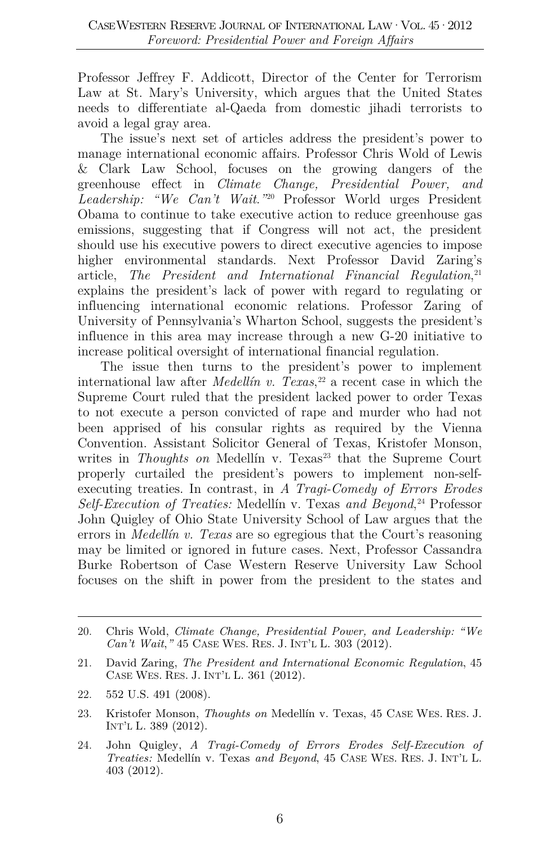Professor Jeffrey F. Addicott, Director of the Center for Terrorism Law at St. Mary's University, which argues that the United States needs to differentiate al-Qaeda from domestic jihadi terrorists to avoid a legal gray area.

The issue's next set of articles address the president's power to manage international economic affairs. Professor Chris Wold of Lewis & Clark Law School, focuses on the growing dangers of the greenhouse effect in *Climate Change, Presidential Power, and Leadership: "We Can't Wait*.*"*[20](#page-6-0) Professor World urges President Obama to continue to take executive action to reduce greenhouse gas emissions, suggesting that if Congress will not act, the president should use his executive powers to direct executive agencies to impose higher environmental standards. Next Professor David Zaring's article, *The President and International Financial Regulation*, [21](#page-6-1) explains the president's lack of power with regard to regulating or influencing international economic relations. Professor Zaring of University of Pennsylvania's Wharton School, suggests the president's influence in this area may increase through a new G-20 initiative to increase political oversight of international financial regulation.

The issue then turns to the president's power to implement international law after *Medellín v. Texas*, [22](#page-6-2) a recent case in which the Supreme Court ruled that the president lacked power to order Texas to not execute a person convicted of rape and murder who had not been apprised of his consular rights as required by the Vienna Convention. Assistant Solicitor General of Texas, Kristofer Monson, writes in *Thoughts on* Medellín v. Texas<sup>[23](#page-6-3)</sup> that the Supreme Court properly curtailed the president's powers to implement non-selfexecuting treaties. In contrast, in *A Tragi-Comedy of Errors Erodes Self-Execution of Treaties:* Medellín v. Texas *and Beyond*, [24](#page-6-4) Professor John Quigley of Ohio State University School of Law argues that the errors in *Medellín v. Texas* are so egregious that the Court's reasoning may be limited or ignored in future cases. Next, Professor Cassandra Burke Robertson of Case Western Reserve University Law School focuses on the shift in power from the president to the states and

- <span id="page-6-1"></span>21. David Zaring, *The President and International Economic Regulation*, 45 CASE WES. RES. J. INT'L L. 361 (2012).
- <span id="page-6-2"></span>22. 552 U.S. 491 (2008).
- <span id="page-6-3"></span>23. Kristofer Monson, *Thoughts on* Medellín v. Texas, 45 CASE WES. RES. J. INT'L L. 389 (2012).
- <span id="page-6-4"></span>24. John Quigley, *A Tragi-Comedy of Errors Erodes Self-Execution of Treaties:* Medellín v. Texas *and Beyond*, 45 CASE WES. RES. J. INT'L L. 403 (2012).

<span id="page-6-0"></span><sup>20.</sup> Chris Wold, *Climate Change, Presidential Power, and Leadership: "We Can't Wait*,*"* 45 CASE WES. RES. J. INT'L L. 303 (2012).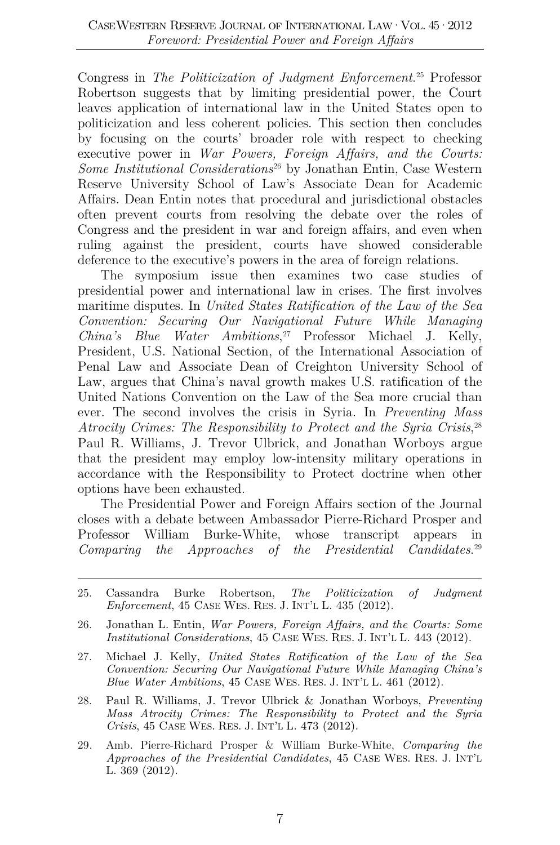Congress in *The Politicization of Judgment Enforcement*. [25](#page-7-0) Professor Robertson suggests that by limiting presidential power, the Court leaves application of international law in the United States open to politicization and less coherent policies. This section then concludes by focusing on the courts' broader role with respect to checking executive power in *War Powers, Foreign Affairs, and the Courts: Some Institutional Considerations*[26](#page-7-1) by Jonathan Entin, Case Western Reserve University School of Law's Associate Dean for Academic Affairs. Dean Entin notes that procedural and jurisdictional obstacles often prevent courts from resolving the debate over the roles of Congress and the president in war and foreign affairs, and even when ruling against the president, courts have showed considerable deference to the executive's powers in the area of foreign relations.

The symposium issue then examines two case studies of presidential power and international law in crises. The first involves maritime disputes. In *United States Ratification of the Law of the Sea Convention: Securing Our Navigational Future While Managing China's Blue Water Ambitions*, [27](#page-7-2) Professor Michael J. Kelly, President, U.S. National Section, of the International Association of Penal Law and Associate Dean of Creighton University School of Law, argues that China's naval growth makes U.S. ratification of the United Nations Convention on the Law of the Sea more crucial than ever. The second involves the crisis in Syria. In *Preventing Mass Atrocity Crimes: The Responsibility to Protect and the Syria Crisis*, [28](#page-7-3) Paul R. Williams, J. Trevor Ulbrick, and Jonathan Worboys argue that the president may employ low-intensity military operations in accordance with the Responsibility to Protect doctrine when other options have been exhausted.

The Presidential Power and Foreign Affairs section of the Journal closes with a debate between Ambassador Pierre-Richard Prosper and Professor William Burke-White, whose transcript appears in *Comparing the Approaches of the Presidential Candidates*. [29](#page-7-4)

- <span id="page-7-0"></span>25. Cassandra Burke Robertson, *The Politicization of Judgment Enforcement*, 45 CASE WES. RES. J. INT'L L. 435 (2012).
- <span id="page-7-1"></span>26. Jonathan L. Entin, *War Powers, Foreign Affairs, and the Courts: Some Institutional Considerations*, 45 CASE WES. RES. J. INT'L L. 443 (2012).
- <span id="page-7-2"></span>27. Michael J. Kelly, *United States Ratification of the Law of the Sea Convention: Securing Our Navigational Future While Managing China's Blue Water Ambitions*, 45 CASE WES. RES. J. INT'L L. 461 (2012).
- <span id="page-7-3"></span>28. Paul R. Williams, J. Trevor Ulbrick & Jonathan Worboys, *Preventing Mass Atrocity Crimes: The Responsibility to Protect and the Syria Crisis*, 45 CASE WES. RES. J. INT'L L. 473 (2012).
- <span id="page-7-4"></span>29*.* Amb. Pierre-Richard Prosper & William Burke-White, *Comparing the Approaches of the Presidential Candidates*, 45 CASE WES. RES. J. INT'L L. 369 (2012).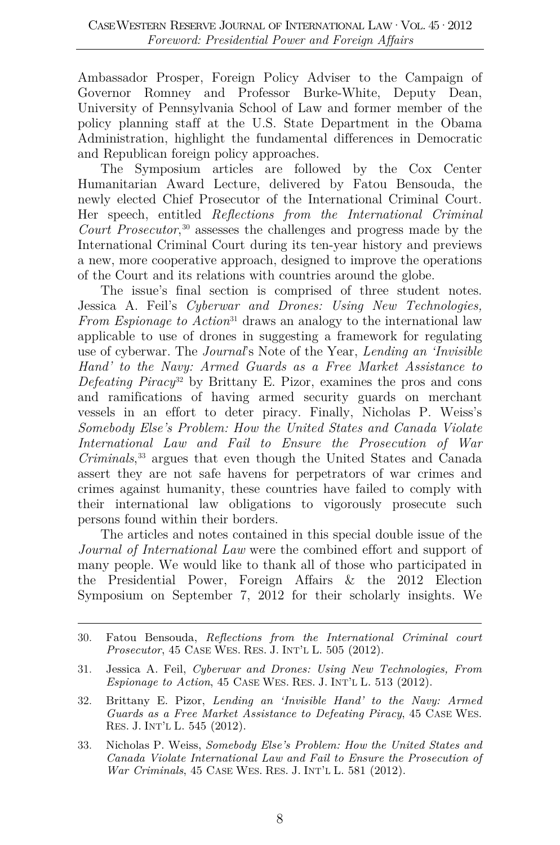Ambassador Prosper, Foreign Policy Adviser to the Campaign of Governor Romney and Professor Burke-White, Deputy Dean, University of Pennsylvania School of Law and former member of the policy planning staff at the U.S. State Department in the Obama Administration, highlight the fundamental differences in Democratic and Republican foreign policy approaches.

The Symposium articles are followed by the Cox Center Humanitarian Award Lecture, delivered by Fatou Bensouda, the newly elected Chief Prosecutor of the International Criminal Court. Her speech, entitled *Reflections from the International Criminal Court Prosecutor*, [30](#page-8-0) assesses the challenges and progress made by the International Criminal Court during its ten-year history and previews a new, more cooperative approach, designed to improve the operations of the Court and its relations with countries around the globe.

The issue's final section is comprised of three student notes. Jessica A. Feil's *Cyberwar and Drones: Using New Technologies, From Espionage to Action*<sup>[31](#page-8-1)</sup> draws an analogy to the international law applicable to use of drones in suggesting a framework for regulating use of cyberwar. The *Journal*'s Note of the Year, *Lending an 'Invisible Hand' to the Navy: Armed Guards as a Free Market Assistance to Defeating Piracy*[32](#page-8-2) by Brittany E. Pizor, examines the pros and cons and ramifications of having armed security guards on merchant vessels in an effort to deter piracy. Finally, Nicholas P. Weiss's *Somebody Else's Problem: How the United States and Canada Violate International Law and Fail to Ensure the Prosecution of War Criminals*, [33](#page-8-3) argues that even though the United States and Canada assert they are not safe havens for perpetrators of war crimes and crimes against humanity, these countries have failed to comply with their international law obligations to vigorously prosecute such persons found within their borders.

The articles and notes contained in this special double issue of the *Journal of International Law* were the combined effort and support of many people. We would like to thank all of those who participated in the Presidential Power, Foreign Affairs & the 2012 Election Symposium on September 7, 2012 for their scholarly insights. We

- <span id="page-8-2"></span>32. Brittany E. Pizor, *Lending an 'Invisible Hand' to the Navy: Armed Guards as a Free Market Assistance to Defeating Piracy*, 45 CASE WES. RES. J. INT'L L. 545 (2012).
- <span id="page-8-3"></span>33. Nicholas P. Weiss, *Somebody Else's Problem: How the United States and Canada Violate International Law and Fail to Ensure the Prosecution of War Criminals*, 45 CASE WES. RES. J. INT'L L. 581 (2012).

<span id="page-8-0"></span><sup>30.</sup> Fatou Bensouda, *Reflections from the International Criminal court Prosecutor*, 45 CASE WES. RES. J. INT'L L. 505 (2012).

<span id="page-8-1"></span><sup>31.</sup> Jessica A. Feil, *Cyberwar and Drones: Using New Technologies, From Espionage to Action*, 45 CASE WES. RES. J. INT'L L. 513 (2012).